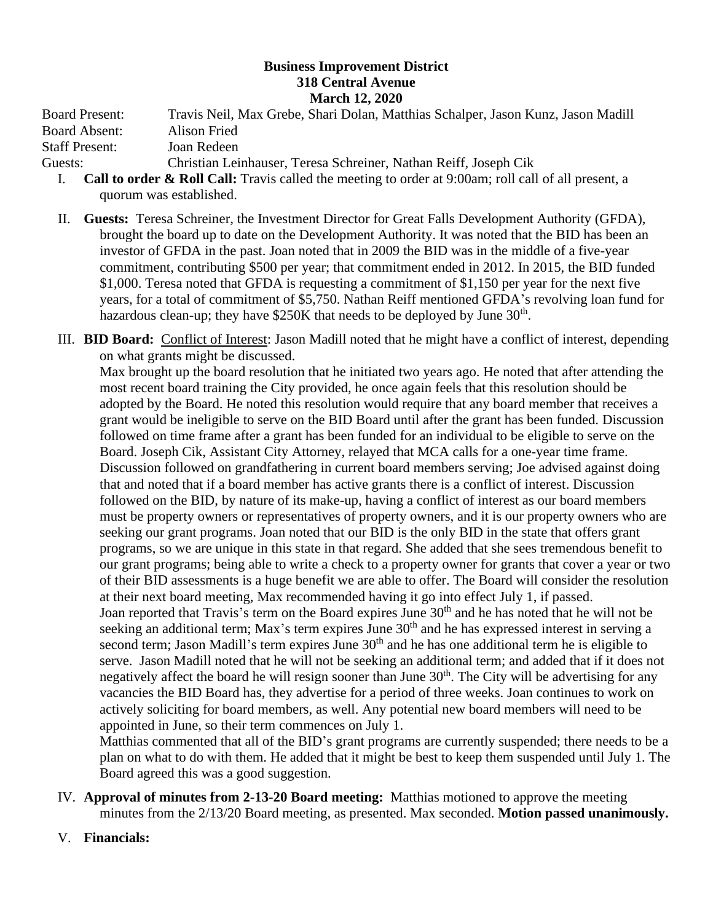## **Business Improvement District 318 Central Avenue March 12, 2020**

Board Present: Travis Neil, Max Grebe, Shari Dolan, Matthias Schalper, Jason Kunz, Jason Madill Board Absent: Alison Fried Staff Present: Joan Redeen

Guests: Christian Leinhauser, Teresa Schreiner, Nathan Reiff, Joseph Cik

- I. **Call to order & Roll Call:** Travis called the meeting to order at 9:00am; roll call of all present, a quorum was established.
- II. **Guests:** Teresa Schreiner, the Investment Director for Great Falls Development Authority (GFDA), brought the board up to date on the Development Authority. It was noted that the BID has been an investor of GFDA in the past. Joan noted that in 2009 the BID was in the middle of a five-year commitment, contributing \$500 per year; that commitment ended in 2012. In 2015, the BID funded \$1,000. Teresa noted that GFDA is requesting a commitment of \$1,150 per year for the next five years, for a total of commitment of \$5,750. Nathan Reiff mentioned GFDA's revolving loan fund for hazardous clean-up; they have  $$250K$  that needs to be deployed by June  $30<sup>th</sup>$ .
- III. **BID Board:** Conflict of Interest: Jason Madill noted that he might have a conflict of interest, depending on what grants might be discussed.

Max brought up the board resolution that he initiated two years ago. He noted that after attending the most recent board training the City provided, he once again feels that this resolution should be adopted by the Board. He noted this resolution would require that any board member that receives a grant would be ineligible to serve on the BID Board until after the grant has been funded. Discussion followed on time frame after a grant has been funded for an individual to be eligible to serve on the Board. Joseph Cik, Assistant City Attorney, relayed that MCA calls for a one-year time frame. Discussion followed on grandfathering in current board members serving; Joe advised against doing that and noted that if a board member has active grants there is a conflict of interest. Discussion followed on the BID, by nature of its make-up, having a conflict of interest as our board members must be property owners or representatives of property owners, and it is our property owners who are seeking our grant programs. Joan noted that our BID is the only BID in the state that offers grant programs, so we are unique in this state in that regard. She added that she sees tremendous benefit to our grant programs; being able to write a check to a property owner for grants that cover a year or two of their BID assessments is a huge benefit we are able to offer. The Board will consider the resolution at their next board meeting, Max recommended having it go into effect July 1, if passed. Joan reported that Travis's term on the Board expires June 30<sup>th</sup> and he has noted that he will not be seeking an additional term; Max's term expires June  $30<sup>th</sup>$  and he has expressed interest in serving a second term; Jason Madill's term expires June  $30<sup>th</sup>$  and he has one additional term he is eligible to serve. Jason Madill noted that he will not be seeking an additional term; and added that if it does not negatively affect the board he will resign sooner than June  $30<sup>th</sup>$ . The City will be advertising for any vacancies the BID Board has, they advertise for a period of three weeks. Joan continues to work on actively soliciting for board members, as well. Any potential new board members will need to be appointed in June, so their term commences on July 1.

Matthias commented that all of the BID's grant programs are currently suspended; there needs to be a plan on what to do with them. He added that it might be best to keep them suspended until July 1. The Board agreed this was a good suggestion.

- IV. **Approval of minutes from 2-13-20 Board meeting:** Matthias motioned to approve the meeting minutes from the 2/13/20 Board meeting, as presented. Max seconded. **Motion passed unanimously.**
- V. **Financials:**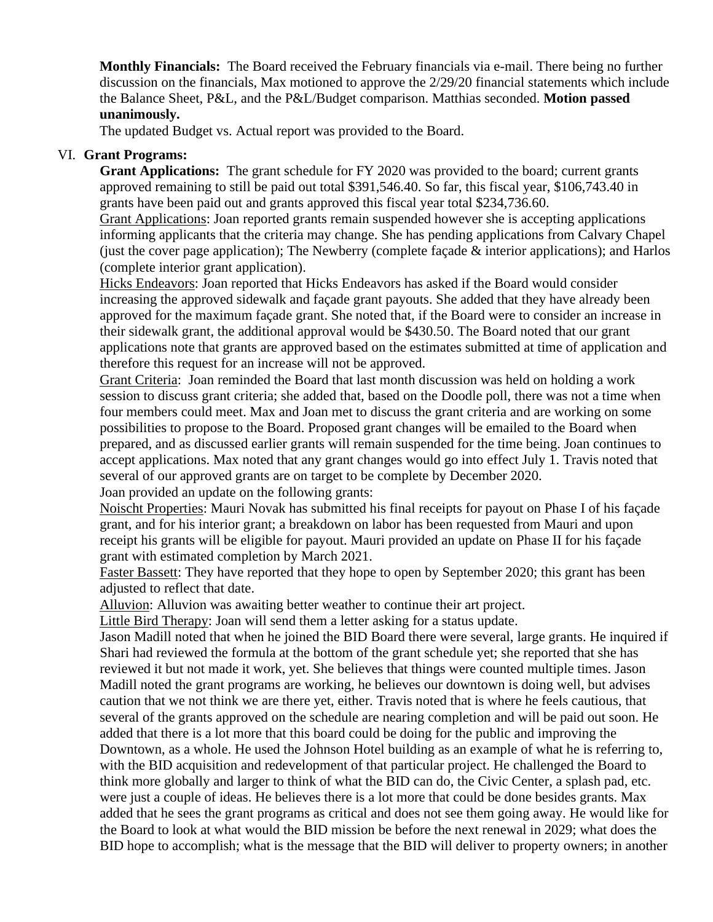**Monthly Financials:** The Board received the February financials via e-mail. There being no further discussion on the financials, Max motioned to approve the 2/29/20 financial statements which include the Balance Sheet, P&L, and the P&L/Budget comparison. Matthias seconded. **Motion passed unanimously.**

The updated Budget vs. Actual report was provided to the Board.

## VI. **Grant Programs:**

**Grant Applications:** The grant schedule for FY 2020 was provided to the board; current grants approved remaining to still be paid out total \$391,546.40. So far, this fiscal year, \$106,743.40 in grants have been paid out and grants approved this fiscal year total \$234,736.60.

Grant Applications: Joan reported grants remain suspended however she is accepting applications informing applicants that the criteria may change. She has pending applications from Calvary Chapel (just the cover page application); The Newberry (complete façade & interior applications); and Harlos (complete interior grant application).

Hicks Endeavors: Joan reported that Hicks Endeavors has asked if the Board would consider increasing the approved sidewalk and façade grant payouts. She added that they have already been approved for the maximum façade grant. She noted that, if the Board were to consider an increase in their sidewalk grant, the additional approval would be \$430.50. The Board noted that our grant applications note that grants are approved based on the estimates submitted at time of application and therefore this request for an increase will not be approved.

Grant Criteria: Joan reminded the Board that last month discussion was held on holding a work session to discuss grant criteria; she added that, based on the Doodle poll, there was not a time when four members could meet. Max and Joan met to discuss the grant criteria and are working on some possibilities to propose to the Board. Proposed grant changes will be emailed to the Board when prepared, and as discussed earlier grants will remain suspended for the time being. Joan continues to accept applications. Max noted that any grant changes would go into effect July 1. Travis noted that several of our approved grants are on target to be complete by December 2020.

Joan provided an update on the following grants:

Noischt Properties: Mauri Novak has submitted his final receipts for payout on Phase I of his façade grant, and for his interior grant; a breakdown on labor has been requested from Mauri and upon receipt his grants will be eligible for payout. Mauri provided an update on Phase II for his façade grant with estimated completion by March 2021.

Faster Bassett: They have reported that they hope to open by September 2020; this grant has been adjusted to reflect that date.

Alluvion: Alluvion was awaiting better weather to continue their art project.

Little Bird Therapy: Joan will send them a letter asking for a status update.

Jason Madill noted that when he joined the BID Board there were several, large grants. He inquired if Shari had reviewed the formula at the bottom of the grant schedule yet; she reported that she has reviewed it but not made it work, yet. She believes that things were counted multiple times. Jason Madill noted the grant programs are working, he believes our downtown is doing well, but advises caution that we not think we are there yet, either. Travis noted that is where he feels cautious, that several of the grants approved on the schedule are nearing completion and will be paid out soon. He added that there is a lot more that this board could be doing for the public and improving the Downtown, as a whole. He used the Johnson Hotel building as an example of what he is referring to, with the BID acquisition and redevelopment of that particular project. He challenged the Board to think more globally and larger to think of what the BID can do, the Civic Center, a splash pad, etc. were just a couple of ideas. He believes there is a lot more that could be done besides grants. Max added that he sees the grant programs as critical and does not see them going away. He would like for the Board to look at what would the BID mission be before the next renewal in 2029; what does the BID hope to accomplish; what is the message that the BID will deliver to property owners; in another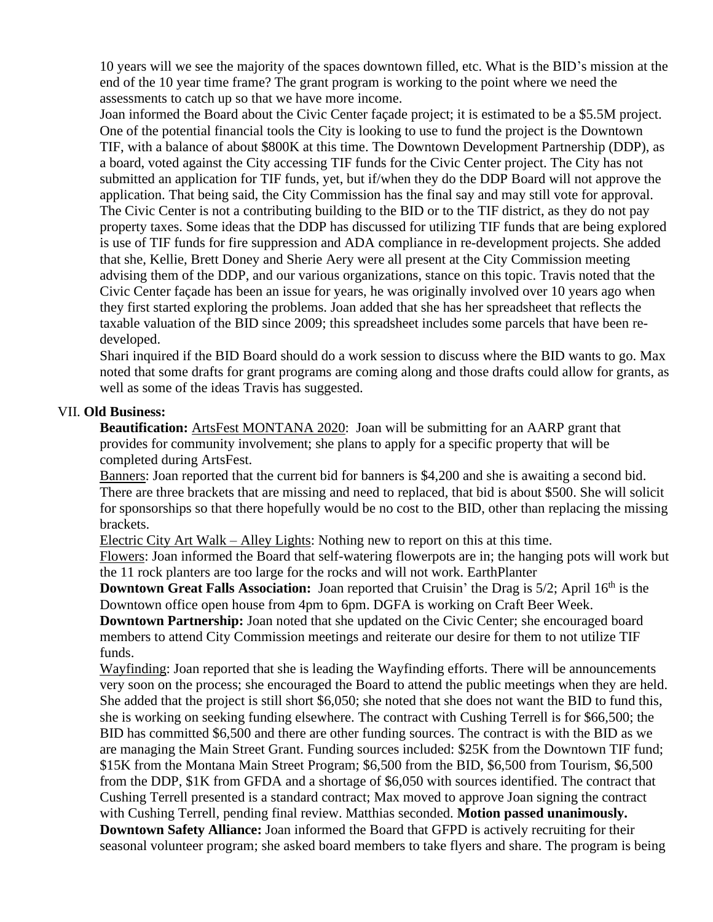10 years will we see the majority of the spaces downtown filled, etc. What is the BID's mission at the end of the 10 year time frame? The grant program is working to the point where we need the assessments to catch up so that we have more income.

Joan informed the Board about the Civic Center façade project; it is estimated to be a \$5.5M project. One of the potential financial tools the City is looking to use to fund the project is the Downtown TIF, with a balance of about \$800K at this time. The Downtown Development Partnership (DDP), as a board, voted against the City accessing TIF funds for the Civic Center project. The City has not submitted an application for TIF funds, yet, but if/when they do the DDP Board will not approve the application. That being said, the City Commission has the final say and may still vote for approval. The Civic Center is not a contributing building to the BID or to the TIF district, as they do not pay property taxes. Some ideas that the DDP has discussed for utilizing TIF funds that are being explored is use of TIF funds for fire suppression and ADA compliance in re-development projects. She added that she, Kellie, Brett Doney and Sherie Aery were all present at the City Commission meeting advising them of the DDP, and our various organizations, stance on this topic. Travis noted that the Civic Center façade has been an issue for years, he was originally involved over 10 years ago when they first started exploring the problems. Joan added that she has her spreadsheet that reflects the taxable valuation of the BID since 2009; this spreadsheet includes some parcels that have been redeveloped.

Shari inquired if the BID Board should do a work session to discuss where the BID wants to go. Max noted that some drafts for grant programs are coming along and those drafts could allow for grants, as well as some of the ideas Travis has suggested.

## VII. **Old Business:**

**Beautification:** ArtsFest MONTANA 2020: Joan will be submitting for an AARP grant that provides for community involvement; she plans to apply for a specific property that will be completed during ArtsFest.

Banners: Joan reported that the current bid for banners is \$4,200 and she is awaiting a second bid. There are three brackets that are missing and need to replaced, that bid is about \$500. She will solicit for sponsorships so that there hopefully would be no cost to the BID, other than replacing the missing brackets.

Electric City Art Walk – Alley Lights: Nothing new to report on this at this time.

Flowers: Joan informed the Board that self-watering flowerpots are in; the hanging pots will work but the 11 rock planters are too large for the rocks and will not work. EarthPlanter

**Downtown Great Falls Association:** Joan reported that Cruisin' the Drag is 5/2; April 16<sup>th</sup> is the Downtown office open house from 4pm to 6pm. DGFA is working on Craft Beer Week.

**Downtown Partnership:** Joan noted that she updated on the Civic Center; she encouraged board members to attend City Commission meetings and reiterate our desire for them to not utilize TIF funds.

Wayfinding: Joan reported that she is leading the Wayfinding efforts. There will be announcements very soon on the process; she encouraged the Board to attend the public meetings when they are held. She added that the project is still short \$6,050; she noted that she does not want the BID to fund this, she is working on seeking funding elsewhere. The contract with Cushing Terrell is for \$66,500; the BID has committed \$6,500 and there are other funding sources. The contract is with the BID as we are managing the Main Street Grant. Funding sources included: \$25K from the Downtown TIF fund; \$15K from the Montana Main Street Program; \$6,500 from the BID, \$6,500 from Tourism, \$6,500 from the DDP, \$1K from GFDA and a shortage of \$6,050 with sources identified. The contract that Cushing Terrell presented is a standard contract; Max moved to approve Joan signing the contract with Cushing Terrell, pending final review. Matthias seconded. **Motion passed unanimously. Downtown Safety Alliance:** Joan informed the Board that GFPD is actively recruiting for their seasonal volunteer program; she asked board members to take flyers and share. The program is being